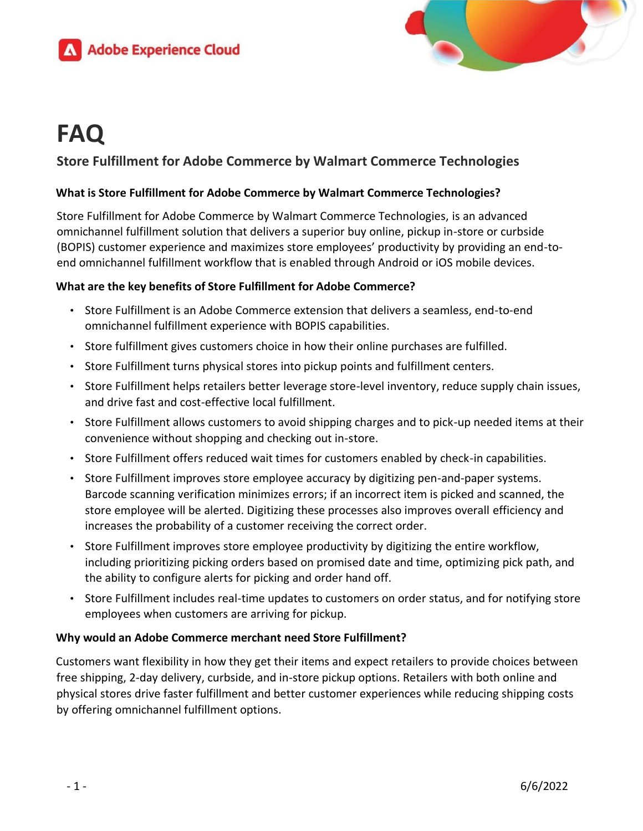



# **FAQ**

# **Store Fulfillment for Adobe Commerce by Walmart Commerce Technologies**

## **What is Store Fulfillment for Adobe Commerce by Walmart Commerce Technologies?**

Store Fulfillment for Adobe Commerce by Walmart Commerce Technologies, is an advanced omnichannel fulfillment solution that delivers a superior buy online, pickup in-store or curbside (BOPIS) customer experience and maximizes store employees' productivity by providing an end-toend omnichannel fulfillment workflow that is enabled through Android or iOS mobile devices.

## **What are the key benefits of Store Fulfillment for Adobe Commerce?**

- Store Fulfillment is an Adobe Commerce extension that delivers a seamless, end-to-end omnichannel fulfillment experience with BOPIS capabilities.
- Store fulfillment gives customers choice in how their online purchases are fulfilled.
- Store Fulfillment turns physical stores into pickup points and fulfillment centers.
- Store Fulfillment helps retailers better leverage store-level inventory, reduce supply chain issues, and drive fast and cost-effective local fulfillment.
- Store Fulfillment allows customers to avoid shipping charges and to pick-up needed items at their convenience without shopping and checking out in-store.
- Store Fulfillment offers reduced wait times for customers enabled by check-in capabilities.
- Store Fulfillment improves store employee accuracy by digitizing pen-and-paper systems. Barcode scanning verification minimizes errors; if an incorrect item is picked and scanned, the store employee will be alerted. Digitizing these processes also improves overall efficiency and increases the probability of a customer receiving the correct order.
- Store Fulfillment improves store employee productivity by digitizing the entire workflow, including prioritizing picking orders based on promised date and time, optimizing pick path, and the ability to configure alerts for picking and order hand off.
- Store Fulfillment includes real-time updates to customers on order status, and for notifying store employees when customers are arriving for pickup.

#### **Why would an Adobe Commerce merchant need Store Fulfillment?**

Customers want flexibility in how they get their items and expect retailers to provide choices between free shipping, 2-day delivery, curbside, and in-store pickup options. Retailers with both online and physical stores drive faster fulfillment and better customer experiences while reducing shipping costs by offering omnichannel fulfillment options.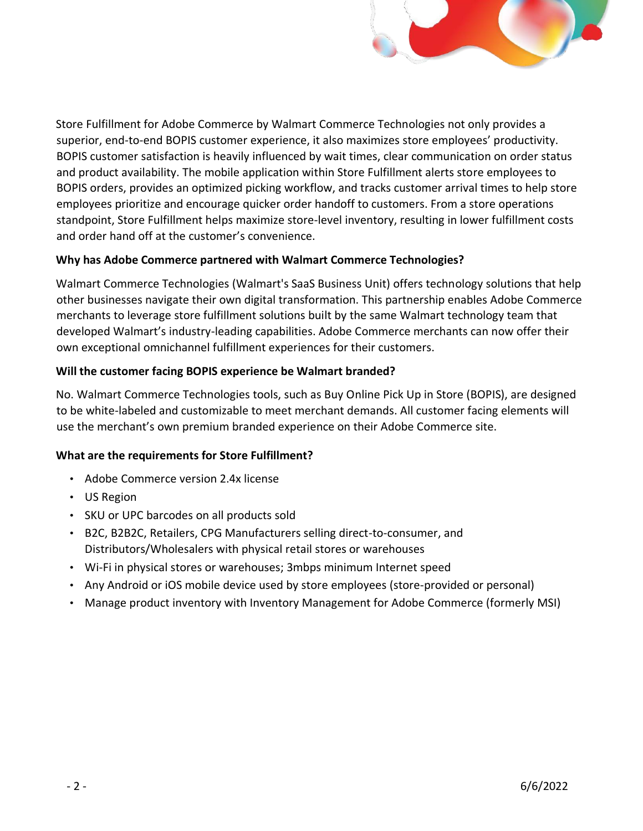

Store Fulfillment for Adobe Commerce by Walmart Commerce Technologies not only provides a superior, end-to-end BOPIS customer experience, it also maximizes store employees' productivity. BOPIS customer satisfaction is heavily influenced by wait times, clear communication on order status and product availability. The mobile application within Store Fulfillment alerts store employees to BOPIS orders, provides an optimized picking workflow, and tracks customer arrival times to help store employees prioritize and encourage quicker order handoff to customers. From a store operations standpoint, Store Fulfillment helps maximize store-level inventory, resulting in lower fulfillment costs and order hand off at the customer's convenience.

## **Why has Adobe Commerce partnered with Walmart Commerce Technologies?**

Walmart Commerce Technologies (Walmart's SaaS Business Unit) offers technology solutions that help other businesses navigate their own digital transformation. This partnership enables Adobe Commerce merchants to leverage store fulfillment solutions built by the same Walmart technology team that developed Walmart's industry-leading capabilities. Adobe Commerce merchants can now offer their own exceptional omnichannel fulfillment experiences for their customers.

## **Will the customer facing BOPIS experience be Walmart branded?**

No. Walmart Commerce Technologies tools, such as Buy Online Pick Up in Store (BOPIS), are designed to be white-labeled and customizable to meet merchant demands. All customer facing elements will use the merchant's own premium branded experience on their Adobe Commerce site.

#### **What are the requirements for Store Fulfillment?**

- Adobe Commerce version 2.4x license
- US Region
- SKU or UPC barcodes on all products sold
- B2C, B2B2C, Retailers, CPG Manufacturers selling direct-to-consumer, and Distributors/Wholesalers with physical retail stores or warehouses
- Wi-Fi in physical stores or warehouses; 3mbps minimum Internet speed
- Any Android or iOS mobile device used by store employees (store-provided or personal)
- Manage product inventory with Inventory Management for Adobe Commerce (formerly MSI)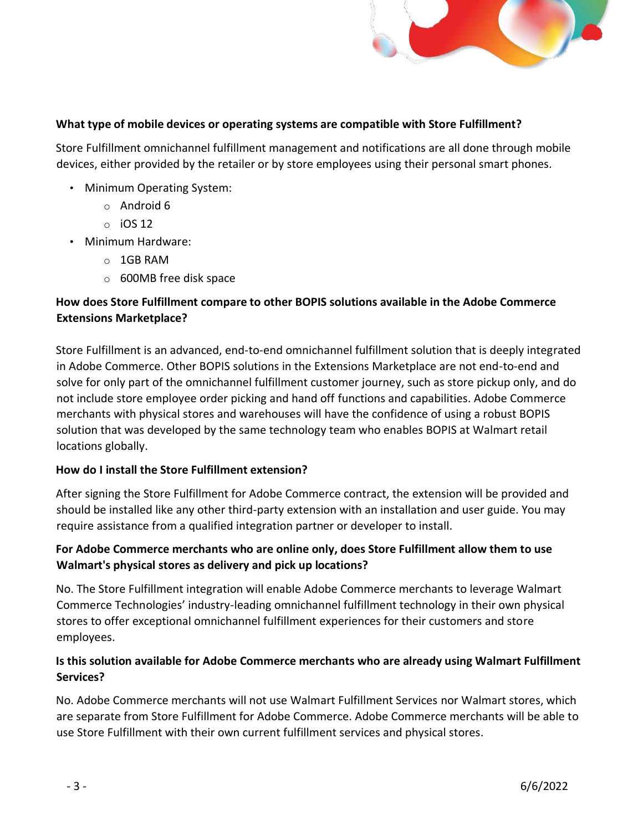

#### **What type of mobile devices or operating systems are compatible with Store Fulfillment?**

Store Fulfillment omnichannel fulfillment management and notifications are all done through mobile devices, either provided by the retailer or by store employees using their personal smart phones.

- Minimum Operating System:
	- o Android 6
	- $\circ$  iOS 12
- Minimum Hardware:
	- o 1GB RAM
	- o 600MB free disk space

# **How does Store Fulfillment compare to other BOPIS solutions available in the Adobe Commerce Extensions Marketplace?**

Store Fulfillment is an advanced, end-to-end omnichannel fulfillment solution that is deeply integrated in Adobe Commerce. Other BOPIS solutions in the Extensions Marketplace are not end-to-end and solve for only part of the omnichannel fulfillment customer journey, such as store pickup only, and do not include store employee order picking and hand off functions and capabilities. Adobe Commerce merchants with physical stores and warehouses will have the confidence of using a robust BOPIS solution that was developed by the same technology team who enables BOPIS at Walmart retail locations globally.

#### **How do I install the Store Fulfillment extension?**

After signing the Store Fulfillment for Adobe Commerce contract, the extension will be provided and should be installed like any other third-party extension with an installation and user guide. You may require assistance from a qualified integration partner or developer to install.

# **For Adobe Commerce merchants who are online only, does Store Fulfillment allow them to use Walmart's physical stores as delivery and pick up locations?**

No. The Store Fulfillment integration will enable Adobe Commerce merchants to leverage Walmart Commerce Technologies' industry-leading omnichannel fulfillment technology in their own physical stores to offer exceptional omnichannel fulfillment experiences for their customers and store employees.

# **Is this solution available for Adobe Commerce merchants who are already using Walmart Fulfillment Services?**

No. Adobe Commerce merchants will not use Walmart Fulfillment Services [nor Walmart stores, which](https://docs-beta.magento.com/user-guide/payment-services/payments-options.html)  [are se](https://docs-beta.magento.com/user-guide/payment-services/payments-options.html)parate from Store Fulfillment for Adobe Commerce. Adobe Commerce merchants will be able to use Store Fulfillment with their own current fulfillment services and physical stores.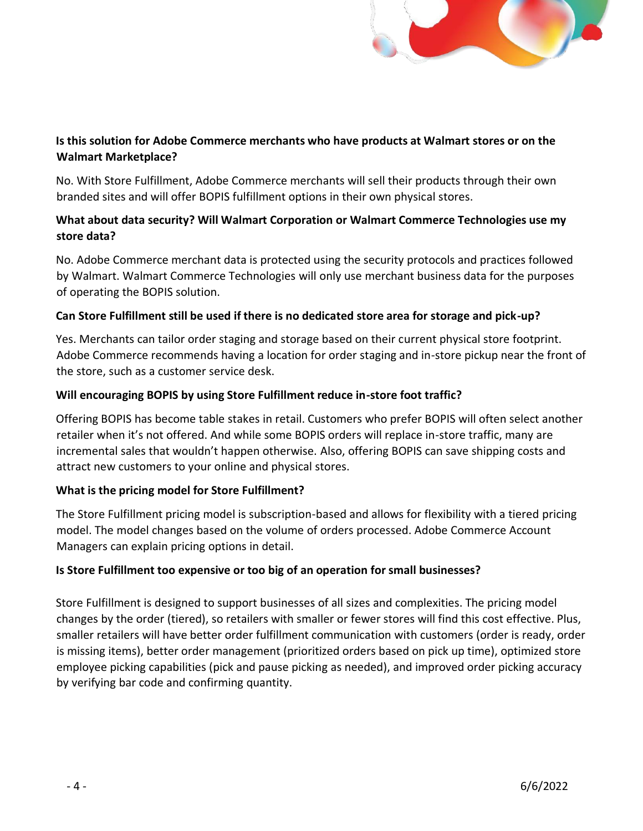

# **Is this solution for Adobe Commerce merchants who have products at Walmart stores or on the Walmart Marketplace?**

No. With Store Fulfillment, Adobe Commerce merchants will sell their products through their own branded sites and will offer BOPIS fulfillment options in their own physical stores.

# **What about data security? Will Walmart Corporation or Walmart Commerce Technologies use my store data?**

No. Adobe Commerce merchant data is protected using the security protocols and practices followed by Walmart. Walmart Commerce Technologies will only use merchant business data for the purposes of operating the BOPIS solution.

## **Can Store Fulfillment still be used if there is no dedicated store area for storage and pick-up?**

Yes. Merchants can tailor order staging and storage based on their current physical store footprint. Adobe Commerce recommends having a location for order staging and in-store pickup near the front of the store, such as a customer service desk.

## **Will encouraging BOPIS by using Store Fulfillment reduce in-store foot traffic?**

Offering BOPIS has become table stakes in retail. Customers who prefer BOPIS will often select another retailer when it's not offered. And while some BOPIS orders will replace in-store traffic, many are incremental sales that wouldn't happen otherwise. Also, offering BOPIS can save shipping costs and attract new customers to your online and physical stores.

# **What is the pricing model for Store Fulfillment?**

The Store Fulfillment pricing model is subscription-based and allows for flexibility with a tiered pricing model. The model changes based on the volume of orders processed. Adobe Commerce Account Managers can explain pricing options in detail.

# **Is Store Fulfillment too expensive or too big of an operation for small businesses?**

Store Fulfillment is designed to support businesses of all sizes and complexities. The pricing model changes by the order (tiered), so retailers with smaller or fewer stores will find this cost effective. Plus, smaller retailers will have better order fulfillment communication with customers (order is ready, order is missing items), better order management (prioritized orders based on pick up time), optimized store employee picking capabilities (pick and pause picking as needed), and improved order picking accuracy by verifying bar code and confirming quantity.